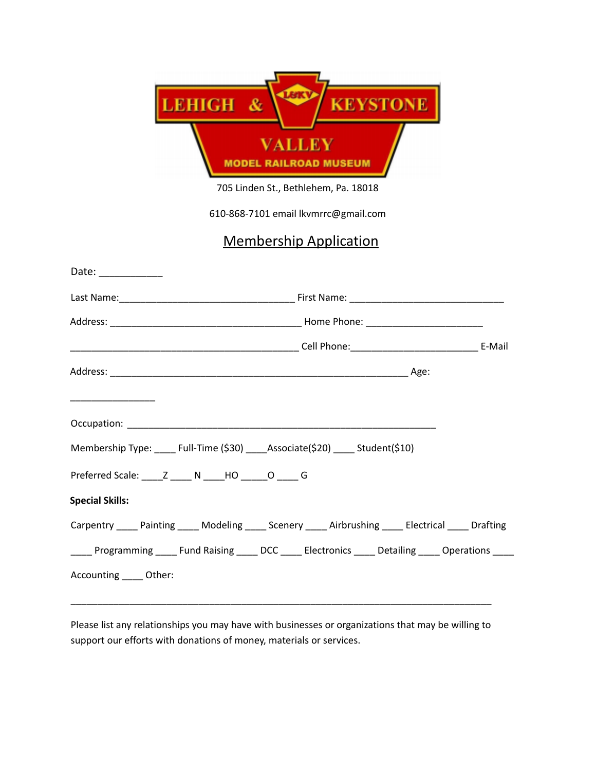| <b>LEHIGH</b> |                                       | <b>KEYSTONE</b> |
|---------------|---------------------------------------|-----------------|
|               | ALLEV<br><b>MODEL RAILROAD MUSEUM</b> |                 |

705 Linden St., Bethlehem, Pa. 18018

610-868-7101 email lkvmrrc@gmail.com

## Membership Application

| Date: ____________                                                                                      |
|---------------------------------------------------------------------------------------------------------|
|                                                                                                         |
|                                                                                                         |
|                                                                                                         |
|                                                                                                         |
|                                                                                                         |
|                                                                                                         |
| Membership Type: ____ Full-Time (\$30) _____ Associate(\$20) _____ Student(\$10)                        |
| Preferred Scale: Z N HO O G                                                                             |
| <b>Special Skills:</b>                                                                                  |
| Carpentry _____ Painting _____ Modeling _____ Scenery _____ Airbrushing _____ Electrical _____ Drafting |
| _____ Programming _____ Fund Raising _____ DCC _____ Electronics _____ Detailing _____ Operations _____ |
| Accounting _____ Other:                                                                                 |
|                                                                                                         |

Please list any relationships you may have with businesses or organizations that may be willing to support our efforts with donations of money, materials or services.